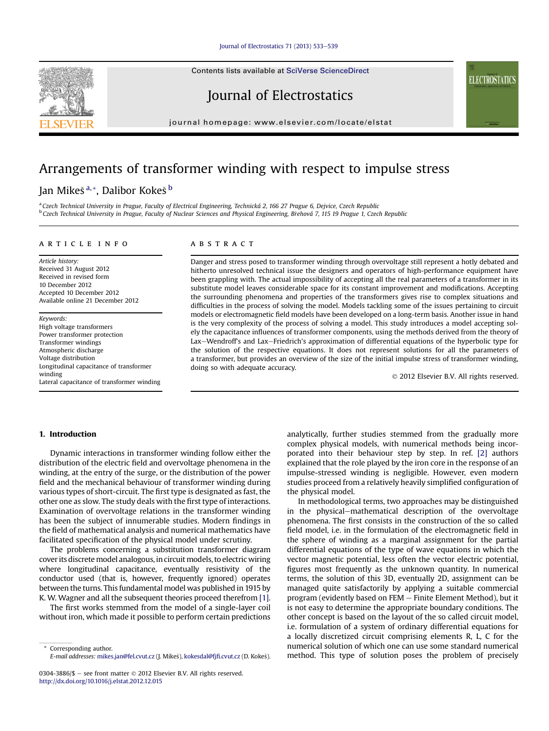#### [Journal of Electrostatics 71 \(2013\) 533](http://dx.doi.org/10.1016/j.elstat.2012.12.015)-[539](http://dx.doi.org/10.1016/j.elstat.2012.12.015)

Contents lists available at SciVerse ScienceDirect

Journal of Electrostatics

journal homepage: [www.elsevier.com/locate/elstat](http://www.elsevier.com/locate/elstat)

# Arrangements of transformer winding with respect to impulse stress

# Jan Mikeš<sup>a,\*</sup>, Dalibor Kokeš<sup>b</sup>

a Czech Technical University in Prague, Faculty of Electrical Engineering, Technická 2, 166 27 Prague 6, Dejvice, Czech Republic **b Czech Technical University in Prague, Faculty of Nuclear Sciences and Physical Engineering, Brehová 7, 115 19 Prague 1, Czech Republic** 

#### article info

Article history: Received 31 August 2012 Received in revised form 10 December 2012 Accepted 10 December 2012 Available online 21 December 2012

Keywords: High voltage transformers Power transformer protection Transformer windings Atmospheric discharge Voltage distribution Longitudinal capacitance of transformer winding Lateral capacitance of transformer winding

## ABSTRACT

Danger and stress posed to transformer winding through overvoltage still represent a hotly debated and hitherto unresolved technical issue the designers and operators of high-performance equipment have been grappling with. The actual impossibility of accepting all the real parameters of a transformer in its substitute model leaves considerable space for its constant improvement and modifications. Accepting the surrounding phenomena and properties of the transformers gives rise to complex situations and difficulties in the process of solving the model. Models tackling some of the issues pertaining to circuit models or electromagnetic field models have been developed on a long-term basis. Another issue in hand is the very complexity of the process of solving a model. This study introduces a model accepting solely the capacitance influences of transformer components, using the methods derived from the theory of Lax-Wendroff's and Lax-Friedrich's approximation of differential equations of the hyperbolic type for the solution of the respective equations. It does not represent solutions for all the parameters of a transformer, but provides an overview of the size of the initial impulse stress of transformer winding, doing so with adequate accuracy.

2012 Elsevier B.V. All rights reserved.

### 1. Introduction

Dynamic interactions in transformer winding follow either the distribution of the electric field and overvoltage phenomena in the winding, at the entry of the surge, or the distribution of the power field and the mechanical behaviour of transformer winding during various types of short-circuit. The first type is designated as fast, the other one as slow. The study deals with the first type of interactions. Examination of overvoltage relations in the transformer winding has been the subject of innumerable studies. Modern findings in the field of mathematical analysis and numerical mathematics have facilitated specification of the physical model under scrutiny.

The problems concerning a substitution transformer diagram coverits discrete model analogous, in circuit models, to electric wiring where longitudinal capacitance, eventually resistivity of the conductor used (that is, however, frequently ignored) operates between the turns. This fundamental model was published in 1915 by K. W. Wagner and all the subsequent theories proceed therefrom [1].

The first works stemmed from the model of a single-layer coil without iron, which made it possible to perform certain predictions

Corresponding author. E-mail addresses: [mikes.jan@fel.cvut.cz](mailto:mikes.jan@fel.cvut.cz) (J. Mikes), [kokesdal@fj](mailto:kokesdal@fjfi.cvut.cz)fi.cvut.cz (D. Kokes).

0304-3886/\$ - see front matter  $\odot$  2012 Elsevier B.V. All rights reserved. <http://dx.doi.org/10.1016/j.elstat.2012.12.015>

analytically, further studies stemmed from the gradually more complex physical models, with numerical methods being incorporated into their behaviour step by step. In ref. [2] authors explained that the role played by the iron core in the response of an impulse-stressed winding is negligible. However, even modern studies proceed from a relatively heavily simplified configuration of the physical model.

In methodological terms, two approaches may be distinguished in the physical–mathematical description of the overvoltage phenomena. The first consists in the construction of the so called field model, i.e. in the formulation of the electromagnetic field in the sphere of winding as a marginal assignment for the partial differential equations of the type of wave equations in which the vector magnetic potential, less often the vector electric potential, figures most frequently as the unknown quantity. In numerical terms, the solution of this 3D, eventually 2D, assignment can be managed quite satisfactorily by applying a suitable commercial program (evidently based on  $FEM$  – Finite Element Method), but it is not easy to determine the appropriate boundary conditions. The other concept is based on the layout of the so called circuit model, i.e. formulation of a system of ordinary differential equations for a locally discretized circuit comprising elements R, L, C for the numerical solution of which one can use some standard numerical method. This type of solution poses the problem of precisely



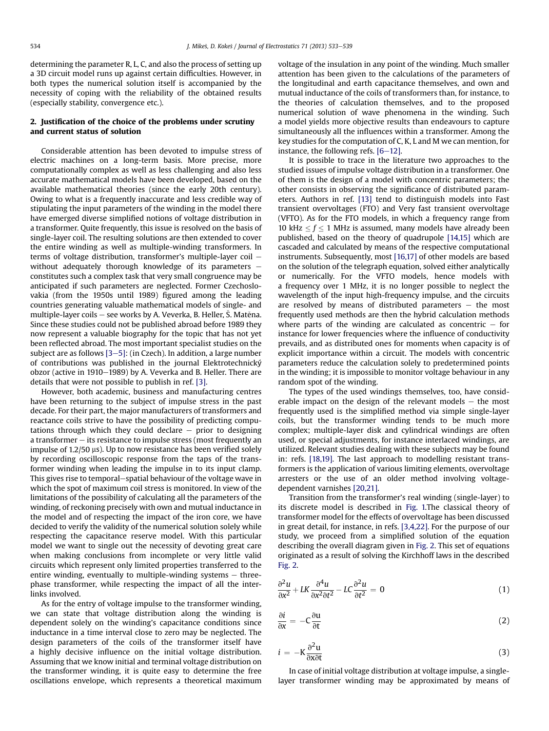determining the parameter R, L, C, and also the process of setting up a 3D circuit model runs up against certain difficulties. However, in both types the numerical solution itself is accompanied by the necessity of coping with the reliability of the obtained results (especially stability, convergence etc.).

### 2. Justification of the choice of the problems under scrutiny and current status of solution

Considerable attention has been devoted to impulse stress of electric machines on a long-term basis. More precise, more computationally complex as well as less challenging and also less accurate mathematical models have been developed, based on the available mathematical theories (since the early 20th century). Owing to what is a frequently inaccurate and less credible way of stipulating the input parameters of the winding in the model there have emerged diverse simplified notions of voltage distribution in a transformer. Quite frequently, this issue is resolved on the basis of single-layer coil. The resulting solutions are then extended to cover the entire winding as well as multiple-winding transformers. In terms of voltage distribution, transformer's multiple-layer coil  $$ without adequately thorough knowledge of its parameters  $$ constitutes such a complex task that very small congruence may be anticipated if such parameters are neglected. Former Czechoslovakia (from the 1950s until 1989) figured among the leading countries generating valuable mathematical models of single- and multiple-layer coils – see works by A. Veverka, B. Heller, Š. Matěna. Since these studies could not be published abroad before 1989 they now represent a valuable biography for the topic that has not yet been reflected abroad. The most important specialist studies on the subject are as follows  $[3-5]$ : (in Czech). In addition, a large number of contributions was published in the journal Elektrotechnický obzor (active in 1910–1989) by A. Veverka and B. Heller. There are details that were not possible to publish in ref. [3].

However, both academic, business and manufacturing centres have been returning to the subject of impulse stress in the past decade. For their part, the major manufacturers of transformers and reactance coils strive to have the possibility of predicting computations through which they could declare  $-$  prior to designing a transformer  $-$  its resistance to impulse stress (most frequently an impulse of  $1.2/50 \mu s$ ). Up to now resistance has been verified solely by recording oscilloscopic response from the taps of the transformer winding when leading the impulse in to its input clamp. This gives rise to temporal–spatial behaviour of the voltage wave in which the spot of maximum coil stress is monitored. In view of the limitations of the possibility of calculating all the parameters of the winding, of reckoning precisely with own and mutual inductance in the model and of respecting the impact of the iron core, we have decided to verify the validity of the numerical solution solely while respecting the capacitance reserve model. With this particular model we want to single out the necessity of devoting great care when making conclusions from incomplete or very little valid circuits which represent only limited properties transferred to the entire winding, eventually to multiple-winding systems  $-$  threephase transformer, while respecting the impact of all the interlinks involved.

As for the entry of voltage impulse to the transformer winding, we can state that voltage distribution along the winding is dependent solely on the winding's capacitance conditions since inductance in a time interval close to zero may be neglected. The design parameters of the coils of the transformer itself have a highly decisive influence on the initial voltage distribution. Assuming that we know initial and terminal voltage distribution on the transformer winding, it is quite easy to determine the free oscillations envelope, which represents a theoretical maximum voltage of the insulation in any point of the winding. Much smaller attention has been given to the calculations of the parameters of the longitudinal and earth capacitance themselves, and own and mutual inductance of the coils of transformers than, for instance, to the theories of calculation themselves, and to the proposed numerical solution of wave phenomena in the winding. Such a model yields more objective results than endeavours to capture simultaneously all the influences within a transformer. Among the key studies for the computation of C, K, L and M we can mention, for instance, the following refs.  $[6-12]$ .

It is possible to trace in the literature two approaches to the studied issues of impulse voltage distribution in a transformer. One of them is the design of a model with concentric parameters; the other consists in observing the significance of distributed parameters. Authors in ref. [13] tend to distinguish models into Fast transient overvoltages (FTO) and Very fast transient overvoltage (VFTO). As for the FTO models, in which a frequency range from 10 kHz  $\leq f \leq$  1 MHz is assumed, many models have already been published, based on the theory of quadrupole [14,15] which are cascaded and calculated by means of the respective computational instruments. Subsequently, most [16,17] of other models are based on the solution of the telegraph equation, solved either analytically or numerically. For the VFTO models, hence models with a frequency over 1 MHz, it is no longer possible to neglect the wavelength of the input high-frequency impulse, and the circuits are resolved by means of distributed parameters  $-$  the most frequently used methods are then the hybrid calculation methods where parts of the winding are calculated as concentric  $-$  for instance for lower frequencies where the influence of conductivity prevails, and as distributed ones for moments when capacity is of explicit importance within a circuit. The models with concentric parameters reduce the calculation solely to predetermined points in the winding; it is impossible to monitor voltage behaviour in any random spot of the winding.

The types of the used windings themselves, too, have considerable impact on the design of the relevant models  $-$  the most frequently used is the simplified method via simple single-layer coils, but the transformer winding tends to be much more complex; multiple-layer disk and cylindrical windings are often used, or special adjustments, for instance interlaced windings, are utilized. Relevant studies dealing with these subjects may be found in: refs. [18,19]. The last approach to modelling resistant transformers is the application of various limiting elements, overvoltage arresters or the use of an older method involving voltagedependent varnishes [20,21].

Transition from the transformer's real winding (single-layer) to its discrete model is described in Fig. 1.The classical theory of transformer model for the effects of overvoltage has been discussed in great detail, for instance, in refs. [3,4,22]. For the purpose of our study, we proceed from a simplified solution of the equation describing the overall diagram given in Fig. 2. This set of equations originated as a result of solving the Kirchhoff laws in the described Fig. 2.

$$
\frac{\partial^2 u}{\partial x^2} + LK \frac{\partial^4 u}{\partial x^2 \partial t^2} - LC \frac{\partial^2 u}{\partial t^2} = 0
$$
 (1)

$$
\frac{\partial i}{\partial x} = -C \frac{\partial u}{\partial t} \tag{2}
$$

$$
i = -K \frac{\partial^2 u}{\partial x \partial t} \tag{3}
$$

In case of initial voltage distribution at voltage impulse, a singlelayer transformer winding may be approximated by means of